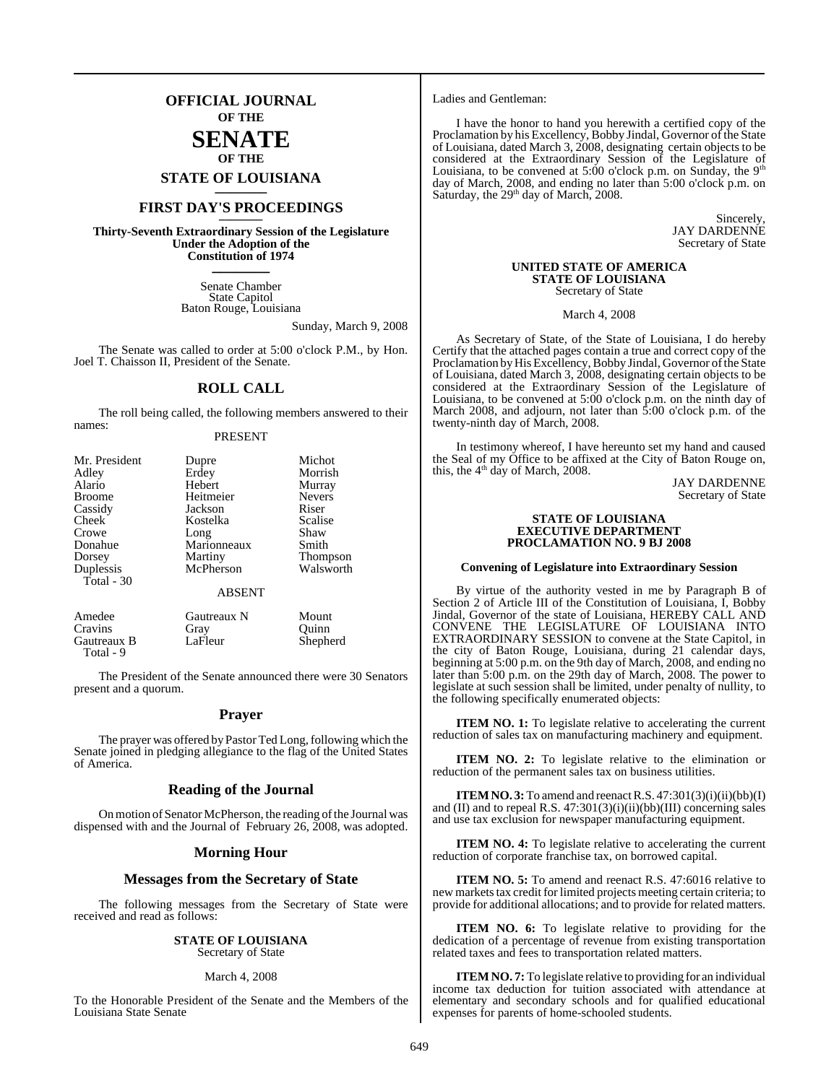## **OFFICIAL JOURNAL OF THE SENATE**

## **OF THE**

## **STATE OF LOUISIANA \_\_\_\_\_\_\_**

## **FIRST DAY'S PROCEEDINGS \_\_\_\_\_\_\_**

**Thirty-Seventh Extraordinary Session of the Legislature Under the Adoption of the Constitution of 1974 \_\_\_\_\_\_\_**

> Senate Chamber State Capitol Baton Rouge, Louisiana

> > Sunday, March 9, 2008

The Senate was called to order at 5:00 o'clock P.M., by Hon. Joel T. Chaisson II, President of the Senate.

## **ROLL CALL**

The roll being called, the following members answered to their names:

## PRESENT

| Mr. President | Dupre         | Michot        |
|---------------|---------------|---------------|
| Adley         | Erdey         | Morrish       |
| Alario        | Hebert        | Murray        |
| <b>Broome</b> | Heitmeier     | <b>Nevers</b> |
| Cassidy       | Jackson       | Riser         |
| Cheek         | Kostelka      | Scalise       |
| Crowe         | Long          | Shaw          |
| Donahue       | Marionneaux   | Smith         |
| Dorsey        | Martiny       | Thompson      |
| Duplessis     | McPherson     | Walsworth     |
| Total - 30    |               |               |
|               | <b>ABSENT</b> |               |
| Amedee        | Gautreaux N   | Mount         |
| Cravins       | Gray          | Ouinn         |
| Gautreaux B   | LaFleur       | Shepherd      |

The President of the Senate announced there were 30 Senators present and a quorum.

Total - 9

## **Prayer**

The prayer was offered by Pastor Ted Long, following which the Senate joined in pledging allegiance to the flag of the United States of America.

## **Reading of the Journal**

On motion of Senator McPherson, the reading of the Journal was dispensed with and the Journal of February 26, 2008, was adopted.

## **Morning Hour**

## **Messages from the Secretary of State**

The following messages from the Secretary of State were received and read as follows:

## **STATE OF LOUISIANA**

Secretary of State

### March 4, 2008

To the Honorable President of the Senate and the Members of the Louisiana State Senate

Ladies and Gentleman:

I have the honor to hand you herewith a certified copy of the Proclamation by his Excellency, Bobby Jindal, Governor of the State of Louisiana, dated March 3, 2008, designating certain objects to be considered at the Extraordinary Session of the Legislature of Louisiana, to be convened at 5:00 o'clock p.m. on Sunday, the  $9<sup>th</sup>$ day of March, 2008, and ending no later than 5:00 o'clock p.m. on Saturday, the 29<sup>th</sup> day of March, 2008.

> Sincerely, JAY DARDENNE Secretary of State

### **UNITED STATE OF AMERICA STATE OF LOUISIANA** Secretary of State

March 4, 2008

As Secretary of State, of the State of Louisiana, I do hereby Certify that the attached pages contain a true and correct copy of the Proclamation by His Excellency, Bobby Jindal, Governor of the State of Louisiana, dated March 3, 2008, designating certain objects to be considered at the Extraordinary Session of the Legislature of Louisiana, to be convened at 5:00 o'clock p.m. on the ninth day of March 2008, and adjourn, not later than 5:00 o'clock p.m. of the twenty-ninth day of March, 2008.

In testimony whereof, I have hereunto set my hand and caused the Seal of my Office to be affixed at the City of Baton Rouge on, this, the 4<sup>th</sup> day of March, 2008.

JAY DARDENNE Secretary of State

### **STATE OF LOUISIANA EXECUTIVE DEPARTMENT PROCLAMATION NO. 9 BJ 2008**

### **Convening of Legislature into Extraordinary Session**

By virtue of the authority vested in me by Paragraph B of Section 2 of Article III of the Constitution of Louisiana, I, Bobby Jindal, Governor of the state of Louisiana, HEREBY CALL AND CONVENE THE LEGISLATURE OF LOUISIANA INTO EXTRAORDINARY SESSION to convene at the State Capitol, in the city of Baton Rouge, Louisiana, during 21 calendar days, beginning at 5:00 p.m. on the 9th day of March, 2008, and ending no later than 5:00 p.m. on the 29th day of March, 2008. The power to legislate at such session shall be limited, under penalty of nullity, to the following specifically enumerated objects:

**ITEM NO. 1:** To legislate relative to accelerating the current reduction of sales tax on manufacturing machinery and equipment.

**ITEM NO. 2:** To legislate relative to the elimination or reduction of the permanent sales tax on business utilities.

**ITEM NO. 3:** To amend and reenact R.S.  $47:301(3)(i)(ii)(bb)(I)$ and (II) and to repeal R.S.  $47:301(3)(i)(ii)(bb)(III)$  concerning sales and use tax exclusion for newspaper manufacturing equipment.

**ITEM NO. 4:** To legislate relative to accelerating the current reduction of corporate franchise tax, on borrowed capital.

**ITEM NO. 5:** To amend and reenact R.S. 47:6016 relative to new markets tax credit for limited projects meeting certain criteria; to provide for additional allocations; and to provide for related matters.

**ITEM NO. 6:** To legislate relative to providing for the dedication of a percentage of revenue from existing transportation related taxes and fees to transportation related matters.

**ITEM NO. 7:** To legislate relative to providing for an individual income tax deduction for tuition associated with attendance at elementary and secondary schools and for qualified educational expenses for parents of home-schooled students.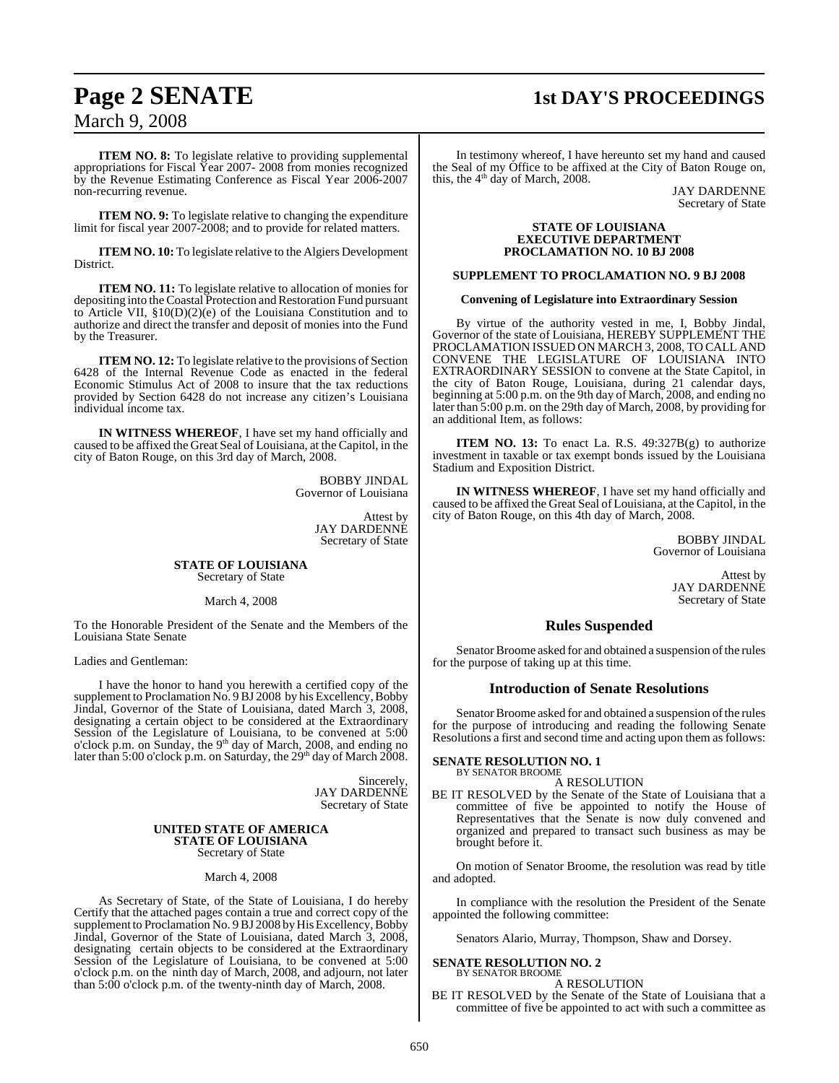# March 9, 2008

## **Page 2 SENATE 1st DAY'S PROCEEDINGS**

**ITEM NO. 8:** To legislate relative to providing supplemental appropriations for Fiscal Year 2007- 2008 from monies recognized by the Revenue Estimating Conference as Fiscal Year 2006-2007 non-recurring revenue.

**ITEM NO. 9:** To legislate relative to changing the expenditure limit for fiscal year 2007-2008; and to provide for related matters.

**ITEM NO. 10:** To legislate relative to the Algiers Development District.

**ITEM NO. 11:** To legislate relative to allocation of monies for depositing into the Coastal Protection and Restoration Fund pursuant to Article VII, §10(D)(2)(e) of the Louisiana Constitution and to authorize and direct the transfer and deposit of monies into the Fund by the Treasurer.

**ITEM NO. 12:** To legislate relative to the provisions of Section 6428 of the Internal Revenue Code as enacted in the federal Economic Stimulus Act of 2008 to insure that the tax reductions provided by Section 6428 do not increase any citizen's Louisiana individual income tax.

**IN WITNESS WHEREOF**, I have set my hand officially and caused to be affixed the Great Seal of Louisiana, at the Capitol, in the city of Baton Rouge, on this 3rd day of March, 2008.

> BOBBY JINDAL Governor of Louisiana

> > Attest by JAY DARDENNE Secretary of State

### **STATE OF LOUISIANA** Secretary of State

## March 4, 2008

To the Honorable President of the Senate and the Members of the Louisiana State Senate

Ladies and Gentleman:

I have the honor to hand you herewith a certified copy of the supplement to Proclamation No. 9BJ 2008 by his Excellency, Bobby Jindal, Governor of the State of Louisiana, dated March 3, 2008, designating a certain object to be considered at the Extraordinary Session of the Legislature of Louisiana, to be convened at 5:00 o'clock p.m. on Sunday, the 9<sup>th</sup> day of March, 2008, and ending no later than 5:00 o'clock p.m. on Saturday, the  $29<sup>th</sup>$  day of March 2008.

> Sincerely, JAY DARDENNE Secretary of State

### **UNITED STATE OF AMERICA STATE OF LOUISIANA** Secretary of State

March 4, 2008

As Secretary of State, of the State of Louisiana, I do hereby Certify that the attached pages contain a true and correct copy of the supplement to Proclamation No. 9 BJ 2008 by His Excellency, Bobby Jindal, Governor of the State of Louisiana, dated March 3, 2008, designating certain objects to be considered at the Extraordinary Session of the Legislature of Louisiana, to be convened at 5:00 o'clock p.m. on the ninth day of March, 2008, and adjourn, not later than 5:00 o'clock p.m. of the twenty-ninth day of March, 2008.

In testimony whereof, I have hereunto set my hand and caused the Seal of my Office to be affixed at the City of Baton Rouge on, this, the  $4<sup>th</sup>$  day of March, 2008.

JAY DARDENNE Secretary of State

### **STATE OF LOUISIANA EXECUTIVE DEPARTMENT PROCLAMATION NO. 10 BJ 2008**

## **SUPPLEMENT TO PROCLAMATION NO. 9 BJ 2008**

## **Convening of Legislature into Extraordinary Session**

By virtue of the authority vested in me, I, Bobby Jindal, Governor of the state of Louisiana, HEREBY SUPPLEMENT THE PROCLAMATION ISSUED ON MARCH 3, 2008, TO CALL AND CONVENE THE LEGISLATURE OF LOUISIANA INTO EXTRAORDINARY SESSION to convene at the State Capitol, in the city of Baton Rouge, Louisiana, during 21 calendar days, beginning at 5:00 p.m. on the 9th day of March, 2008, and ending no later than 5:00 p.m. on the 29th day of March, 2008, by providing for an additional Item, as follows:

**ITEM NO. 13:** To enact La. R.S.  $49:327B(g)$  to authorize investment in taxable or tax exempt bonds issued by the Louisiana Stadium and Exposition District.

**IN WITNESS WHEREOF**, I have set my hand officially and caused to be affixed the Great Seal of Louisiana, at the Capitol, in the city of Baton Rouge, on this 4th day of March, 2008.

> BOBBY JINDAL Governor of Louisiana

> > Attest by JAY DARDENNE Secretary of State

## **Rules Suspended**

Senator Broome asked for and obtained a suspension of the rules for the purpose of taking up at this time.

## **Introduction of Senate Resolutions**

Senator Broome asked for and obtained a suspension of the rules for the purpose of introducing and reading the following Senate Resolutions a first and second time and acting upon them as follows:

### **SENATE RESOLUTION NO. 1** BY SENATOR BROOME

A RESOLUTION

BE IT RESOLVED by the Senate of the State of Louisiana that a committee of five be appointed to notify the House of Representatives that the Senate is now duly convened and organized and prepared to transact such business as may be brought before it.

On motion of Senator Broome, the resolution was read by title and adopted.

In compliance with the resolution the President of the Senate appointed the following committee:

Senators Alario, Murray, Thompson, Shaw and Dorsey.

### **SENATE RESOLUTION NO. 2** BY SENATOR BROOME

A RESOLUTION

BE IT RESOLVED by the Senate of the State of Louisiana that a committee of five be appointed to act with such a committee as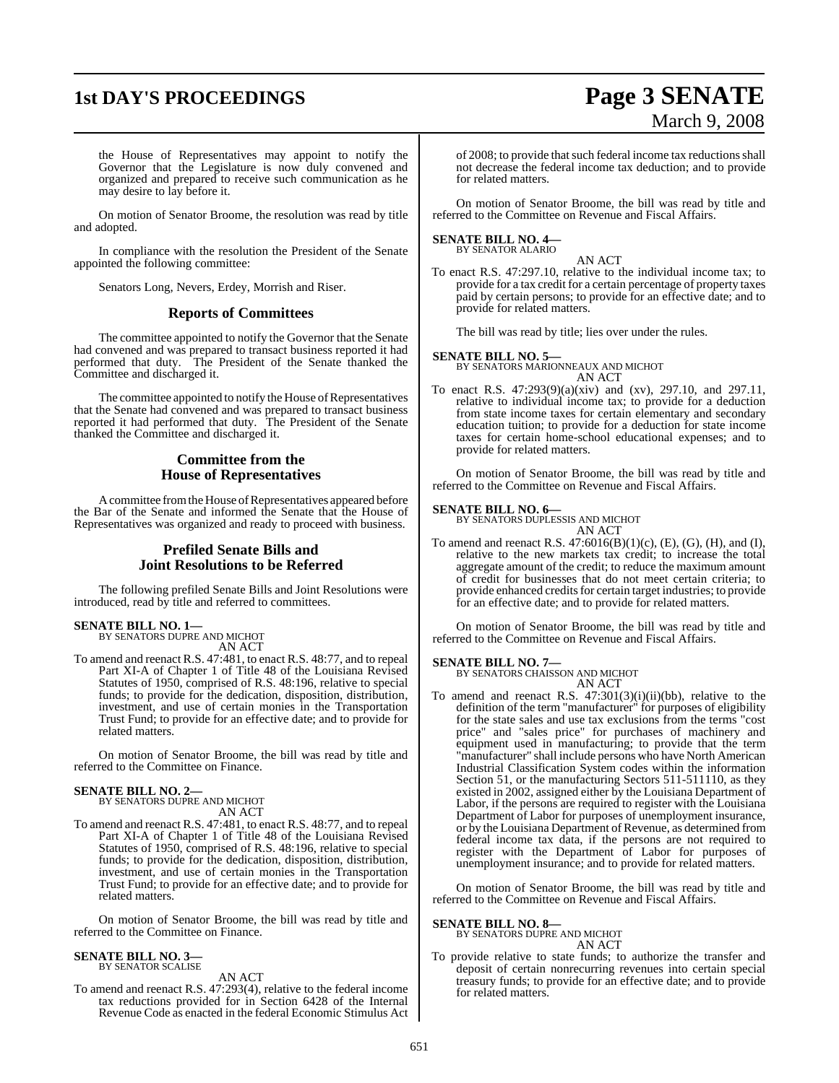## **1st DAY'S PROCEEDINGS Page 3 SENATE**

# March 9, 2008

the House of Representatives may appoint to notify the Governor that the Legislature is now duly convened and organized and prepared to receive such communication as he may desire to lay before it.

On motion of Senator Broome, the resolution was read by title and adopted.

In compliance with the resolution the President of the Senate appointed the following committee:

Senators Long, Nevers, Erdey, Morrish and Riser.

## **Reports of Committees**

The committee appointed to notify the Governor that the Senate had convened and was prepared to transact business reported it had performed that duty. The President of the Senate thanked the Committee and discharged it.

The committee appointed to notify the House of Representatives that the Senate had convened and was prepared to transact business reported it had performed that duty. The President of the Senate thanked the Committee and discharged it.

## **Committee from the House of Representatives**

A committee from the House of Representatives appeared before the Bar of the Senate and informed the Senate that the House of Representatives was organized and ready to proceed with business.

## **Prefiled Senate Bills and Joint Resolutions to be Referred**

The following prefiled Senate Bills and Joint Resolutions were introduced, read by title and referred to committees.

## **SENATE BILL NO. 1—**<br>BY SENATORS DUPRE AND MICHOT

AN ACT

To amend and reenact R.S. 47:481, to enact R.S. 48:77, and to repeal Part XI-A of Chapter 1 of Title 48 of the Louisiana Revised Statutes of 1950, comprised of R.S. 48:196, relative to special funds; to provide for the dedication, disposition, distribution, investment, and use of certain monies in the Transportation Trust Fund; to provide for an effective date; and to provide for related matters.

On motion of Senator Broome, the bill was read by title and referred to the Committee on Finance.

**SENATE BILL NO. 2—** BY SENATORS DUPRE AND MICHOT AN ACT

To amend and reenact R.S. 47:481, to enact R.S. 48:77, and to repeal Part XI-A of Chapter 1 of Title 48 of the Louisiana Revised Statutes of 1950, comprised of R.S. 48:196, relative to special funds; to provide for the dedication, disposition, distribution, investment, and use of certain monies in the Transportation Trust Fund; to provide for an effective date; and to provide for related matters.

On motion of Senator Broome, the bill was read by title and referred to the Committee on Finance.

### **SENATE BILL NO. 3—** BY SENATOR SCALISE

AN ACT

To amend and reenact R.S. 47:293(4), relative to the federal income tax reductions provided for in Section 6428 of the Internal Revenue Code as enacted in the federal Economic Stimulus Act of 2008; to provide that such federal income tax reductions shall not decrease the federal income tax deduction; and to provide for related matters.

On motion of Senator Broome, the bill was read by title and referred to the Committee on Revenue and Fiscal Affairs.

## **SENATE BILL NO. 4—**

BY SENATOR ALARIO

AN ACT To enact R.S. 47:297.10, relative to the individual income tax; to provide for a tax credit for a certain percentage of property taxes paid by certain persons; to provide for an effective date; and to provide for related matters.

The bill was read by title; lies over under the rules.

## **SENATE BILL NO. 5—**

BY SENATORS MARIONNEAUX AND MICHOT AN ACT

To enact R.S. 47:293(9)(a)(xiv) and (xv), 297.10, and 297.11, relative to individual income tax; to provide for a deduction from state income taxes for certain elementary and secondary education tuition; to provide for a deduction for state income taxes for certain home-school educational expenses; and to provide for related matters.

On motion of Senator Broome, the bill was read by title and referred to the Committee on Revenue and Fiscal Affairs.

## **SENATE BILL NO. 6—**

BY SENATORS DUPLESSIS AND MICHOT AN ACT

To amend and reenact R.S. 47:6016(B)(1)(c), (E), (G), (H), and (I), relative to the new markets tax credit; to increase the total aggregate amount of the credit; to reduce the maximum amount of credit for businesses that do not meet certain criteria; to provide enhanced credits for certain target industries; to provide for an effective date; and to provide for related matters.

On motion of Senator Broome, the bill was read by title and referred to the Committee on Revenue and Fiscal Affairs.

## **SENATE BILL NO. 7—**

BY SENATORS CHAISSON AND MICHOT AN ACT

To amend and reenact R.S. 47:301(3)(i)(ii)(bb), relative to the definition of the term "manufacturer" for purposes of eligibility for the state sales and use tax exclusions from the terms "cost price" and "sales price" for purchases of machinery and equipment used in manufacturing; to provide that the term "manufacturer" shall include persons who have North American Industrial Classification System codes within the information Section 51, or the manufacturing Sectors 511-511110, as they existed in 2002, assigned either by the Louisiana Department of Labor, if the persons are required to register with the Louisiana Department of Labor for purposes of unemployment insurance, or by the Louisiana Department of Revenue, as determined from federal income tax data, if the persons are not required to register with the Department of Labor for purposes of unemployment insurance; and to provide for related matters.

On motion of Senator Broome, the bill was read by title and referred to the Committee on Revenue and Fiscal Affairs.

## **SENATE BILL NO. 8—**

BY SENATORS DUPRE AND MICHOT AN ACT

To provide relative to state funds; to authorize the transfer and deposit of certain nonrecurring revenues into certain special treasury funds; to provide for an effective date; and to provide for related matters.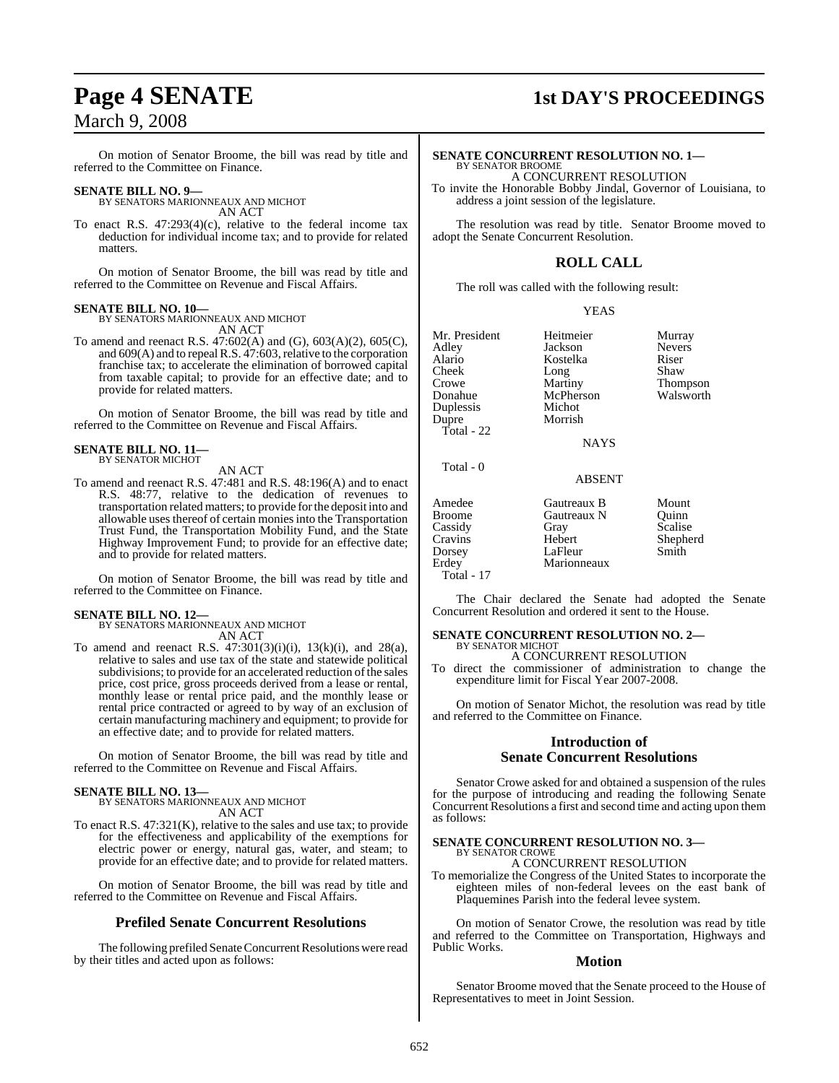## March 9, 2008

On motion of Senator Broome, the bill was read by title and referred to the Committee on Finance.

## **SENATE BILL NO. 9—**

BY SENATORS MARIONNEAUX AND MICHOT AN ACT

To enact R.S. 47:293(4)(c), relative to the federal income tax deduction for individual income tax; and to provide for related matters.

On motion of Senator Broome, the bill was read by title and referred to the Committee on Revenue and Fiscal Affairs.

## **SENATE BILL NO. 10—** BY SENATORS MARIONNEAUX AND MICHOT

AN ACT

To amend and reenact R.S. 47:602(A) and (G), 603(A)(2), 605(C), and 609(A) and to repeal R.S. 47:603, relative to the corporation franchise tax; to accelerate the elimination of borrowed capital from taxable capital; to provide for an effective date; and to provide for related matters.

On motion of Senator Broome, the bill was read by title and referred to the Committee on Revenue and Fiscal Affairs.

## **SENATE BILL NO. 11—** BY SENATOR MICHOT

AN ACT

To amend and reenact R.S. 47:481 and R.S. 48:196(A) and to enact R.S. 48:77, relative to the dedication of revenues to transportation related matters; to provide forthe deposit into and allowable uses thereof of certain moniesinto the Transportation Trust Fund, the Transportation Mobility Fund, and the State Highway Improvement Fund; to provide for an effective date; and to provide for related matters.

On motion of Senator Broome, the bill was read by title and referred to the Committee on Finance.

**SENATE BILL NO. 12—** BY SENATORS MARIONNEAUX AND MICHOT AN ACT

To amend and reenact R.S.  $47:301(3)(i)(i)$ ,  $13(k)(i)$ , and  $28(a)$ , relative to sales and use tax of the state and statewide political subdivisions; to provide for an accelerated reduction of the sales price, cost price, gross proceeds derived from a lease or rental, monthly lease or rental price paid, and the monthly lease or rental price contracted or agreed to by way of an exclusion of certain manufacturing machinery and equipment; to provide for an effective date; and to provide for related matters.

On motion of Senator Broome, the bill was read by title and referred to the Committee on Revenue and Fiscal Affairs.

**SENATE BILL NO. 13—** BY SENATORS MARIONNEAUX AND MICHOT AN ACT

To enact R.S. 47:321(K), relative to the sales and use tax; to provide for the effectiveness and applicability of the exemptions for electric power or energy, natural gas, water, and steam; to provide for an effective date; and to provide for related matters.

On motion of Senator Broome, the bill was read by title and referred to the Committee on Revenue and Fiscal Affairs.

## **Prefiled Senate Concurrent Resolutions**

The following prefiled Senate Concurrent Resolutions were read by their titles and acted upon as follows:

## **Page 4 SENATE 1st DAY'S PROCEEDINGS**

## **SENATE CONCURRENT RESOLUTION NO. 1—** BY SENATOR BROOME

A CONCURRENT RESOLUTION To invite the Honorable Bobby Jindal, Governor of Louisiana, to

address a joint session of the legislature.

The resolution was read by title. Senator Broome moved to adopt the Senate Concurrent Resolution.

## **ROLL CALL**

The roll was called with the following result:

YEAS

| Mr. President<br>Adley<br>Alario<br>Cheek<br>Crowe<br>Donahue<br>Duplessis<br>Dupre<br>Total - $22$ | Heitmeier<br>Jackson<br>Kostelka<br>Long<br>Martiny<br>McPherson<br>Michot<br>Morrish | Murray<br><b>Nevers</b><br>Riser<br>Shaw<br>Thompson<br>Walsworth |
|-----------------------------------------------------------------------------------------------------|---------------------------------------------------------------------------------------|-------------------------------------------------------------------|
|                                                                                                     | NAYS                                                                                  |                                                                   |
| Total - 0                                                                                           | <b>ABSENT</b>                                                                         |                                                                   |
| Amedee                                                                                              | Gautreaux B                                                                           | Mount                                                             |
| <b>Broome</b>                                                                                       | Gautreaux N                                                                           | Ouinn                                                             |
| Cassidy                                                                                             | Gray                                                                                  | Scalise                                                           |
| Cravins                                                                                             | Hebert                                                                                | Shepherd                                                          |
| Dorsey                                                                                              | LaFleur                                                                               | Smith                                                             |
| Erdey                                                                                               | Marionneaux                                                                           |                                                                   |

 $Total - 17$ 

The Chair declared the Senate had adopted the Senate Concurrent Resolution and ordered it sent to the House.

### **SENATE CONCURRENT RESOLUTION NO. 2—** BY SENATOR MICHOT

## A CONCURRENT RESOLUTION

To direct the commissioner of administration to change the expenditure limit for Fiscal Year 2007-2008.

On motion of Senator Michot, the resolution was read by title and referred to the Committee on Finance.

## **Introduction of Senate Concurrent Resolutions**

Senator Crowe asked for and obtained a suspension of the rules for the purpose of introducing and reading the following Senate Concurrent Resolutions a first and second time and acting upon them as follows:

## **SENATE CONCURRENT RESOLUTION NO. 3—** BY SENATOR CROWE

## A CONCURRENT RESOLUTION

To memorialize the Congress of the United States to incorporate the eighteen miles of non-federal levees on the east bank of Plaquemines Parish into the federal levee system.

On motion of Senator Crowe, the resolution was read by title and referred to the Committee on Transportation, Highways and Public Works.

## **Motion**

Senator Broome moved that the Senate proceed to the House of Representatives to meet in Joint Session.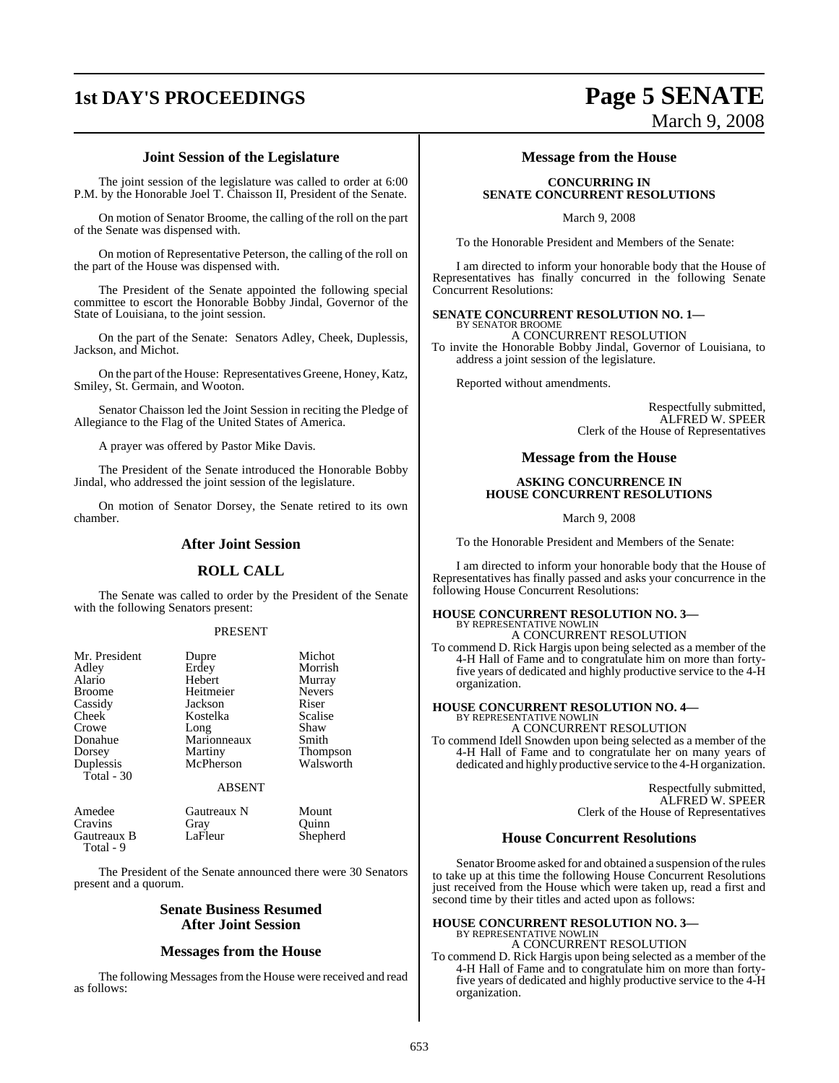## **1st DAY'S PROCEEDINGS Page 5 SENATE**

## **Joint Session of the Legislature**

The joint session of the legislature was called to order at 6:00 P.M. by the Honorable Joel T. Chaisson II, President of the Senate.

On motion of Senator Broome, the calling of the roll on the part of the Senate was dispensed with.

On motion of Representative Peterson, the calling of the roll on the part of the House was dispensed with.

The President of the Senate appointed the following special committee to escort the Honorable Bobby Jindal, Governor of the State of Louisiana, to the joint session.

On the part of the Senate: Senators Adley, Cheek, Duplessis, Jackson, and Michot.

On the part of the House: Representatives Greene, Honey, Katz, Smiley, St. Germain, and Wooton.

Senator Chaisson led the Joint Session in reciting the Pledge of Allegiance to the Flag of the United States of America.

A prayer was offered by Pastor Mike Davis.

The President of the Senate introduced the Honorable Bobby Jindal, who addressed the joint session of the legislature.

On motion of Senator Dorsey, the Senate retired to its own chamber.

## **After Joint Session**

## **ROLL CALL**

The Senate was called to order by the President of the Senate with the following Senators present:

## PRESENT

| Mr. President | Dupre         | Michot         |
|---------------|---------------|----------------|
| Adley         | Erdey         | Morrish        |
| Alario        | Hebert        | Murray         |
| <b>Broome</b> | Heitmeier     | <b>Nevers</b>  |
| Cassidy       | Jackson       | Riser          |
| Cheek         | Kostelka      | <b>Scalise</b> |
| Crowe         | Long          | Shaw           |
| Donahue       | Marionneaux   | Smith          |
| Dorsey        | Martiny       | Thompson       |
| Duplessis     | McPherson     | Walsworth      |
| Total $-30$   |               |                |
|               | <b>ABSENT</b> |                |

| Amedee      | Gautreaux N | Mount    |
|-------------|-------------|----------|
| Cravins     | Grav        | Ouinn    |
| Gautreaux B | LaFleur     | Shepherd |
| Total - 9   |             |          |

The President of the Senate announced there were 30 Senators present and a quorum.

## **Senate Business Resumed After Joint Session**

## **Messages from the House**

The following Messages from the House were received and read as follows:

## **Message from the House**

## **CONCURRING IN SENATE CONCURRENT RESOLUTIONS**

March 9, 2008

To the Honorable President and Members of the Senate:

I am directed to inform your honorable body that the House of Representatives has finally concurred in the following Senate Concurrent Resolutions:

### **SENATE CONCURRENT RESOLUTION NO. 1—** BY SENATOR BROOME

A CONCURRENT RESOLUTION To invite the Honorable Bobby Jindal, Governor of Louisiana, to address a joint session of the legislature.

Reported without amendments.

Respectfully submitted, ALFRED W. SPEER Clerk of the House of Representatives

March 9, 2008

## **Message from the House**

## **ASKING CONCURRENCE IN HOUSE CONCURRENT RESOLUTIONS**

March 9, 2008

To the Honorable President and Members of the Senate:

I am directed to inform your honorable body that the House of Representatives has finally passed and asks your concurrence in the following House Concurrent Resolutions:

## **HOUSE CONCURRENT RESOLUTION NO. 3—** BY REPRESENTATIVE NOWLIN

A CONCURRENT RESOLUTION To commend D. Rick Hargis upon being selected as a member of the 4-H Hall of Fame and to congratulate him on more than fortyfive years of dedicated and highly productive service to the 4-H organization.

## **HOUSE CONCURRENT RESOLUTION NO. 4—**

BY REPRESENTATIVE NOWLIN A CONCURRENT RESOLUTION To commend Idell Snowden upon being selected as a member of the 4-H Hall of Fame and to congratulate her on many years of dedicated and highly productive service to the 4-H organization.

> Respectfully submitted, ALFRED W. SPEER Clerk of the House of Representatives

## **House Concurrent Resolutions**

Senator Broome asked for and obtained a suspension of the rules to take up at this time the following House Concurrent Resolutions just received from the House which were taken up, read a first and second time by their titles and acted upon as follows:

## **HOUSE CONCURRENT RESOLUTION NO. 3—** BY REPRESENTATIVE NOWLIN

A CONCURRENT RESOLUTION To commend D. Rick Hargis upon being selected as a member of the 4-H Hall of Fame and to congratulate him on more than fortyfive years of dedicated and highly productive service to the 4-H organization.